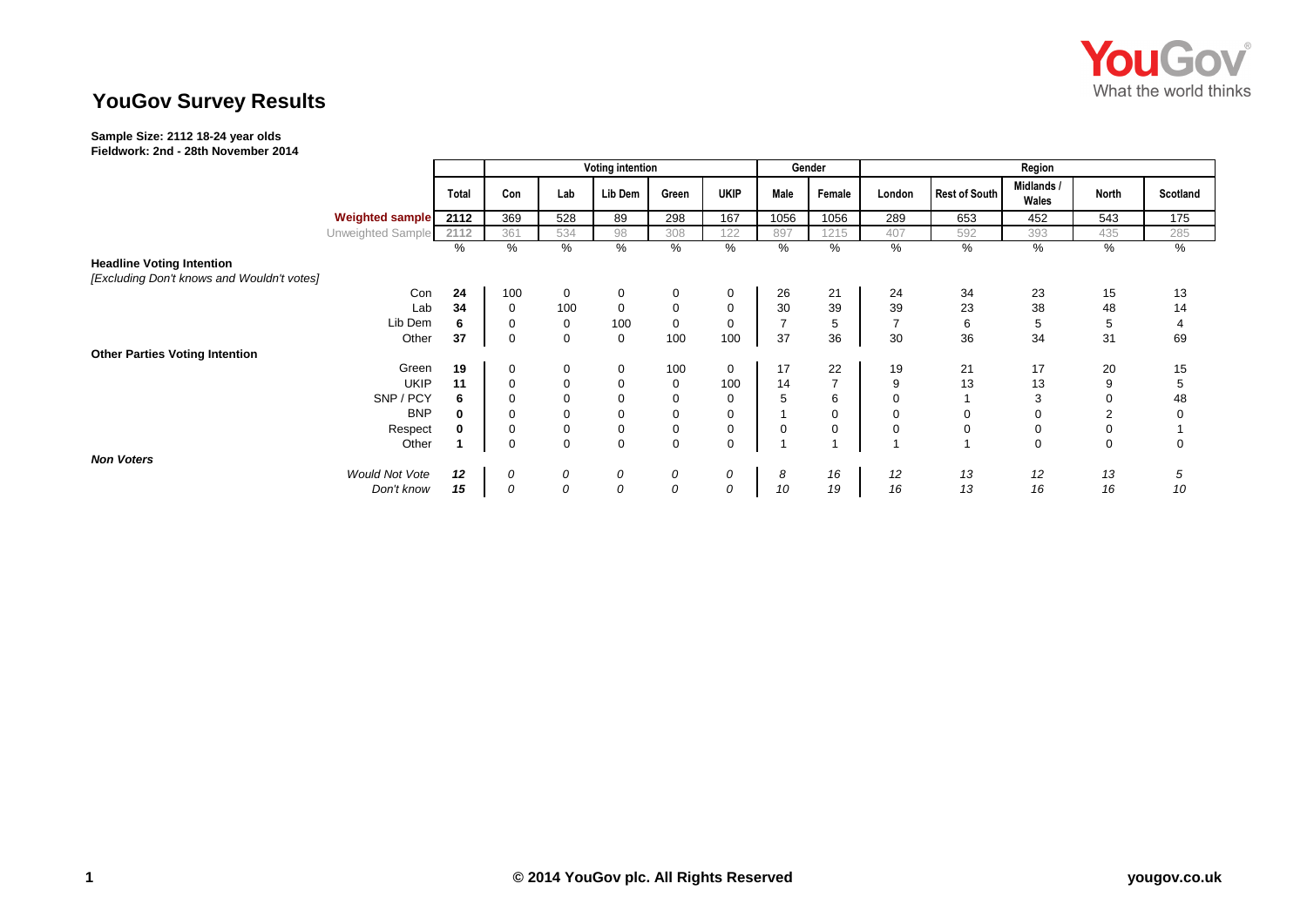

## **YouGov Survey Results**

## **Sample Size: 2112 18-24 year olds**

**Fieldwork: 2nd - 28th November 2014**

|                                                                                |             |       | <b>Voting intention</b> |             |             |          |             | Gender              | Region         |                |                      |                     |             |                |
|--------------------------------------------------------------------------------|-------------|-------|-------------------------|-------------|-------------|----------|-------------|---------------------|----------------|----------------|----------------------|---------------------|-------------|----------------|
|                                                                                |             | Total | Con                     | Lab         | Lib Dem     | Green    | <b>UKIP</b> | Male                | Female         | London         | <b>Rest of South</b> | Midlands /<br>Wales | North       | Scotland       |
| <b>Weighted sample</b>                                                         |             | 2112  | 369                     | 528         | 89          | 298      | 167         | 1056                | 1056           | 289            | 653                  | 452                 | 543         | 175            |
| Unweighted Sample                                                              |             | 2112  | 361                     | 534         | 98          | 308      | 122         | 897                 | 1215           | 407            | 592                  | 393                 | 435         | 285            |
|                                                                                |             | %     | %                       | %           | %           | %        | %           | $\sqrt{\frac{6}{}}$ | %              | %              | %                    | %                   | %           | %              |
| <b>Headline Voting Intention</b><br>[Excluding Don't knows and Wouldn't votes] |             |       |                         |             |             |          |             |                     |                |                |                      |                     |             |                |
|                                                                                | Con         | 24    | 100                     | $\mathbf 0$ | $\mathbf 0$ | $\Omega$ | 0           | 26                  | 21             | 24             | 34                   | 23                  | 15          | 13             |
|                                                                                | Lab         | 34    | $\mathbf 0$             | 100         | 0           | 0        | 0           | 30                  | 39             | 39             | 23                   | 38                  | 48          | 14             |
|                                                                                | Lib Dem     | 6     | 0                       | 0           | 100         | 0        | 0           | $\overline{7}$      | 5              | $\overline{7}$ | 6                    | 5                   | 5           | $\overline{4}$ |
|                                                                                | Other       | 37    | $\mathbf 0$             | $\mathbf 0$ | 0           | 100      | 100         | 37                  | 36             | 30             | 36                   | 34                  | 31          | 69             |
| <b>Other Parties Voting Intention</b>                                          |             |       |                         |             |             |          |             |                     |                |                |                      |                     |             |                |
|                                                                                | Green       | 19    | 0                       | 0           | 0           | 100      | 0           | 17                  | 22             | 19             | 21                   | 17                  | 20          | 15             |
|                                                                                | <b>UKIP</b> | 11    | $\mathbf 0$             | $\mathbf 0$ | 0           | 0        | 100         | 14                  | $\overline{ }$ | 9              | 13                   | 13                  | 9           | 5              |
|                                                                                | SNP / PCY   | 6     | $\Omega$                |             |             |          | 0           | 5                   | 6              | 0              |                      | 3                   | 0           | 48             |
|                                                                                | <b>BNP</b>  | 0     | $\mathbf 0$             | 0           | 0           |          | 0           | $\mathbf{1}$        | $\mathbf 0$    | 0              | 0                    | 0                   | 2           | 0              |
|                                                                                | Respect     |       | $\mathbf 0$             | 0           | 0           | 0        | 0           | 0                   | $\mathbf 0$    | 0              | 0                    | 0                   | 0           |                |
|                                                                                | Other       |       | $\mathbf 0$             | $\mathbf 0$ | $\mathbf 0$ | $\Omega$ | $\mathbf 0$ | $\overline{ }$      |                |                |                      | $\mathbf 0$         | $\mathbf 0$ | $\mathbf 0$    |
| <b>Non Voters</b>                                                              |             |       |                         |             |             |          |             |                     |                |                |                      |                     |             |                |
| <b>Would Not Vote</b>                                                          |             | 12    | 0                       | 0           | 0           | 0        | 0           | 8                   | 16             | 12             | 13                   | 12                  | 13          | 5              |
|                                                                                | Don't know  | 15    | 0                       | 0           | 0           | 0        | 0           | 10                  | 19             | 16             | 13                   | 16                  | 16          | 10             |